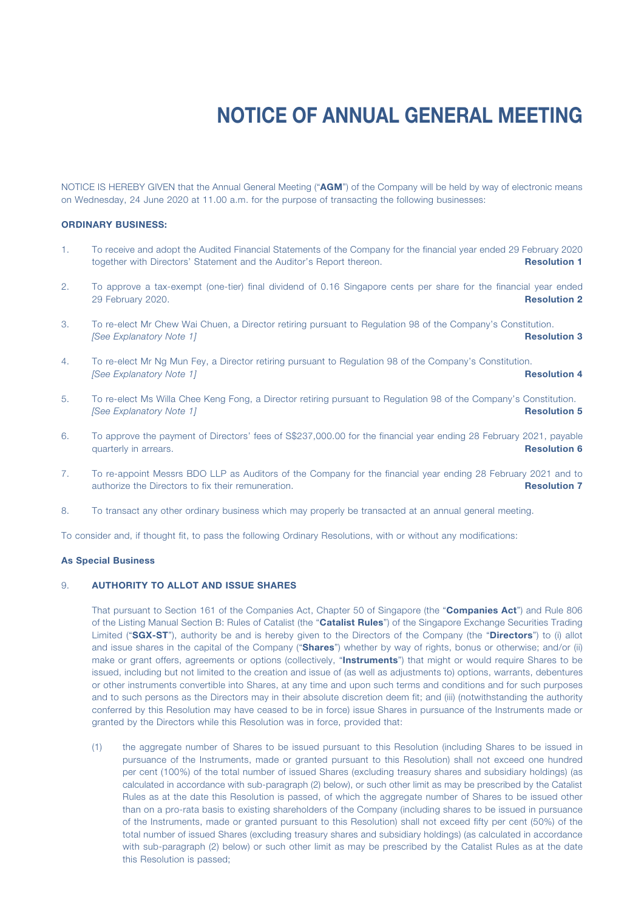NOTICE IS HEREBY GIVEN that the Annual General Meeting ("AGM") of the Company will be held by way of electronic means on Wednesday, 24 June 2020 at 11.00 a.m. for the purpose of transacting the following businesses:

## ORDINARY BUSINESS:

- 1. To receive and adopt the Audited Financial Statements of the Company for the financial year ended 29 February 2020 together with Directors' Statement and the Auditor's Report thereon. **Resolution 1**
- 2. To approve a tax-exempt (one-tier) final dividend of 0.16 Singapore cents per share for the financial year ended 29 February 2020. **Resolution 2** and 2010 **Resolution 2** and 2010 **Resolution 2** and 2010 **Resolution 2**
- 3. To re-elect Mr Chew Wai Chuen, a Director retiring pursuant to Regulation 98 of the Company's Constitution. *See Explanatory Note 1]* Resolution 3
- 4. To re-elect Mr Ng Mun Fey, a Director retiring pursuant to Regulation 98 of the Company's Constitution. *ISee Explanatory Note 11 Resolution 4*
- 5. To re-elect Ms Willa Chee Keng Fong, a Director retiring pursuant to Regulation 98 of the Company's Constitution. *See Explanatory Note 1]* Resolution 5
- 6. To approve the payment of Directors' fees of S\$237,000.00 for the financial year ending 28 February 2021, payable quarterly in arrears. **Resolution 6** and the state of the state of the state of the state of the state of the state of the state of the state of the state of the state of the state of the state of the state of the state of
- 7. To re-appoint Messrs BDO LLP as Auditors of the Company for the financial year ending 28 February 2021 and to authorize the Directors to fix their remuneration. And the example of the state of the Resolution 7
- 8. To transact any other ordinary business which may properly be transacted at an annual general meeting.

To consider and, if thought fit, to pass the following Ordinary Resolutions, with or without any modifications:

## As Special Business

## 9. AUTHORITY TO ALLOT AND ISSUE SHARES

That pursuant to Section 161 of the Companies Act, Chapter 50 of Singapore (the "Companies Act") and Rule 806 of the Listing Manual Section B: Rules of Catalist (the "Catalist Rules") of the Singapore Exchange Securities Trading Limited ("SGX-ST"), authority be and is hereby given to the Directors of the Company (the "Directors") to (i) allot and issue shares in the capital of the Company ("Shares") whether by way of rights, bonus or otherwise; and/or (ii) make or grant offers, agreements or options (collectively, "Instruments") that might or would require Shares to be issued, including but not limited to the creation and issue of (as well as adjustments to) options, warrants, debentures or other instruments convertible into Shares, at any time and upon such terms and conditions and for such purposes and to such persons as the Directors may in their absolute discretion deem fit; and (iii) (notwithstanding the authority conferred by this Resolution may have ceased to be in force) issue Shares in pursuance of the Instruments made or granted by the Directors while this Resolution was in force, provided that:

(1) the aggregate number of Shares to be issued pursuant to this Resolution (including Shares to be issued in pursuance of the Instruments, made or granted pursuant to this Resolution) shall not exceed one hundred per cent (100%) of the total number of issued Shares (excluding treasury shares and subsidiary holdings) (as calculated in accordance with sub-paragraph (2) below), or such other limit as may be prescribed by the Catalist Rules as at the date this Resolution is passed, of which the aggregate number of Shares to be issued other than on a pro-rata basis to existing shareholders of the Company (including shares to be issued in pursuance of the Instruments, made or granted pursuant to this Resolution) shall not exceed fifty per cent (50%) of the total number of issued Shares (excluding treasury shares and subsidiary holdings) (as calculated in accordance with sub-paragraph (2) below) or such other limit as may be prescribed by the Catalist Rules as at the date this Resolution is passed;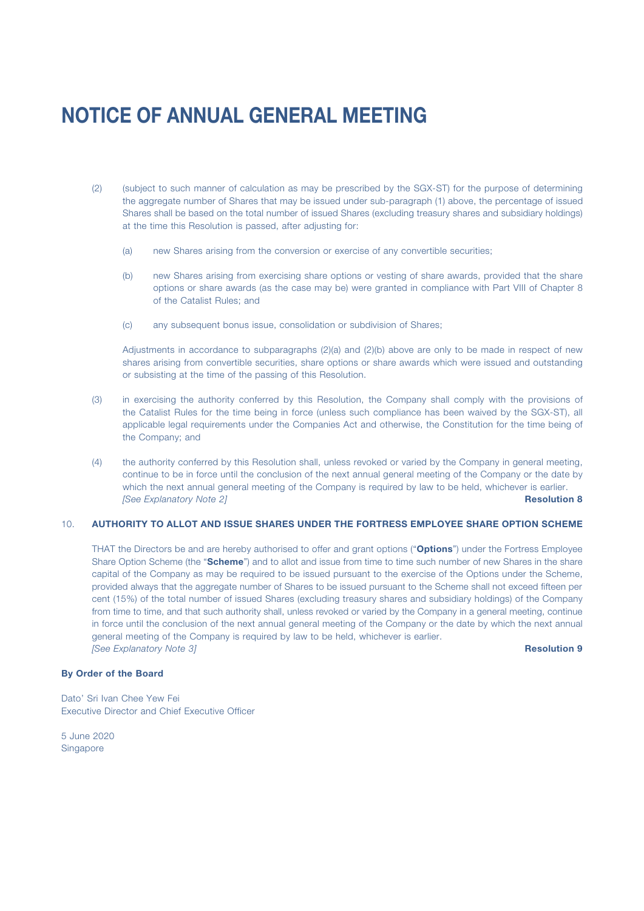- (2) (subject to such manner of calculation as may be prescribed by the SGX-ST) for the purpose of determining the aggregate number of Shares that may be issued under sub-paragraph (1) above, the percentage of issued Shares shall be based on the total number of issued Shares (excluding treasury shares and subsidiary holdings) at the time this Resolution is passed, after adjusting for:
	- (a) new Shares arising from the conversion or exercise of any convertible securities;
	- (b) new Shares arising from exercising share options or vesting of share awards, provided that the share options or share awards (as the case may be) were granted in compliance with Part VIII of Chapter 8 of the Catalist Rules; and
	- (c) any subsequent bonus issue, consolidation or subdivision of Shares;

Adjustments in accordance to subparagraphs (2)(a) and (2)(b) above are only to be made in respect of new shares arising from convertible securities, share options or share awards which were issued and outstanding or subsisting at the time of the passing of this Resolution.

- (3) in exercising the authority conferred by this Resolution, the Company shall comply with the provisions of the Catalist Rules for the time being in force (unless such compliance has been waived by the SGX-ST), all applicable legal requirements under the Companies Act and otherwise, the Constitution for the time being of the Company; and
- (4) the authority conferred by this Resolution shall, unless revoked or varied by the Company in general meeting, continue to be in force until the conclusion of the next annual general meeting of the Company or the date by which the next annual general meeting of the Company is required by law to be held, whichever is earlier. *[See Explanatory Note 2]* Resolution 8

## 10. AUTHORITY TO ALLOT AND ISSUE SHARES UNDER THE FORTRESS EMPLOYEE SHARE OPTION SCHEME

THAT the Directors be and are hereby authorised to offer and grant options ("Options") under the Fortress Employee Share Option Scheme (the "Scheme") and to allot and issue from time to time such number of new Shares in the share capital of the Company as may be required to be issued pursuant to the exercise of the Options under the Scheme, provided always that the aggregate number of Shares to be issued pursuant to the Scheme shall not exceed fifteen per cent (15%) of the total number of issued Shares (excluding treasury shares and subsidiary holdings) of the Company from time to time, and that such authority shall, unless revoked or varied by the Company in a general meeting, continue in force until the conclusion of the next annual general meeting of the Company or the date by which the next annual general meeting of the Company is required by law to be held, whichever is earlier. *See Explanatory Note 3]* Resolution 9

## By Order of the Board

Dato' Sri Ivan Chee Yew Fei Executive Director and Chief Executive Officer

5 June 2020 Singapore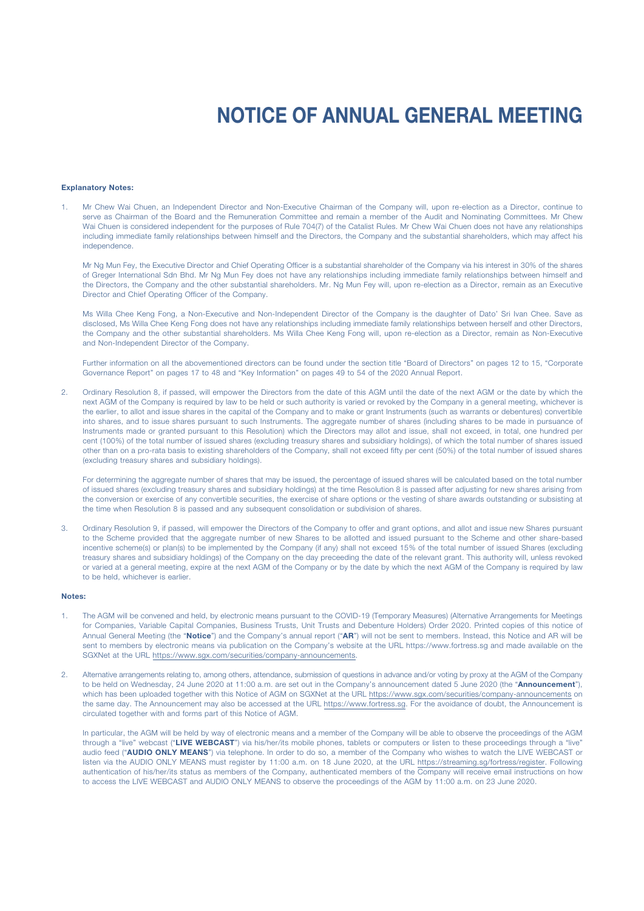#### Explanatory Notes:

1. Mr Chew Wai Chuen, an Independent Director and Non-Executive Chairman of the Company will, upon re-election as a Director, continue to serve as Chairman of the Board and the Remuneration Committee and remain a member of the Audit and Nominating Committees. Mr Chew Wai Chuen is considered independent for the purposes of Rule 704(7) of the Catalist Rules. Mr Chew Wai Chuen does not have any relationships including immediate family relationships between himself and the Directors, the Company and the substantial shareholders, which may affect his independence.

Mr Ng Mun Fey, the Executive Director and Chief Operating Officer is a substantial shareholder of the Company via his interest in 30% of the shares of Greger International Sdn Bhd. Mr Ng Mun Fey does not have any relationships including immediate family relationships between himself and the Directors, the Company and the other substantial shareholders. Mr. Ng Mun Fey will, upon re-election as a Director, remain as an Executive Director and Chief Operating Officer of the Company.

Ms Willa Chee Keng Fong, a Non-Executive and Non-Independent Director of the Company is the daughter of Dato' Sri Ivan Chee. Save as disclosed, Ms Willa Chee Keng Fong does not have any relationships including immediate family relationships between herself and other Directors, the Company and the other substantial shareholders. Ms Willa Chee Keng Fong will, upon re-election as a Director, remain as Non-Executive and Non-Independent Director of the Company.

Further information on all the abovementioned directors can be found under the section title "Board of Directors" on pages 12 to 15, "Corporate Governance Report" on pages 17 to 48 and "Key Information" on pages 49 to 54 of the 2020 Annual Report.

2. Ordinary Resolution 8, if passed, will empower the Directors from the date of this AGM until the date of the next AGM or the date by which the next AGM of the Company is required by law to be held or such authority is varied or revoked by the Company in a general meeting, whichever is the earlier, to allot and issue shares in the capital of the Company and to make or grant Instruments (such as warrants or debentures) convertible into shares, and to issue shares pursuant to such Instruments. The aggregate number of shares (including shares to be made in pursuance of Instruments made or granted pursuant to this Resolution) which the Directors may allot and issue, shall not exceed, in total, one hundred per cent (100%) of the total number of issued shares (excluding treasury shares and subsidiary holdings), of which the total number of shares issued other than on a pro-rata basis to existing shareholders of the Company, shall not exceed fifty per cent (50%) of the total number of issued shares (excluding treasury shares and subsidiary holdings).

For determining the aggregate number of shares that may be issued, the percentage of issued shares will be calculated based on the total number of issued shares (excluding treasury shares and subsidiary holdings) at the time Resolution 8 is passed after adjusting for new shares arising from the conversion or exercise of any convertible securities, the exercise of share options or the vesting of share awards outstanding or subsisting at the time when Resolution 8 is passed and any subsequent consolidation or subdivision of shares.

3. Ordinary Resolution 9, if passed, will empower the Directors of the Company to offer and grant options, and allot and issue new Shares pursuant to the Scheme provided that the aggregate number of new Shares to be allotted and issued pursuant to the Scheme and other share-based incentive scheme(s) or plan(s) to be implemented by the Company (if any) shall not exceed 15% of the total number of issued Shares (excluding treasury shares and subsidiary holdings) of the Company on the day preceeding the date of the relevant grant. This authority will, unless revoked or varied at a general meeting, expire at the next AGM of the Company or by the date by which the next AGM of the Company is required by law to be held, whichever is earlier.

### Notes:

- 1. The AGM will be convened and held, by electronic means pursuant to the COVID-19 (Temporary Measures) (Alternative Arrangements for Meetings for Companies, Variable Capital Companies, Business Trusts, Unit Trusts and Debenture Holders) Order 2020. Printed copies of this notice of Annual General Meeting (the "Notice") and the Company's annual report ("AR") will not be sent to members. Instead, this Notice and AR will be sent to members by electronic means via publication on the Company's website at the URL https://www.fortress.sg and made available on the SGXNet at the URL https://www.sgx.com/securities/company-announcements.
- 2. Alternative arrangements relating to, among others, attendance, submission of questions in advance and/or voting by proxy at the AGM of the Company to be held on Wednesday, 24 June 2020 at 11:00 a.m. are set out in the Company's announcement dated 5 June 2020 (the "Announcement"), which has been uploaded together with this Notice of AGM on SGXNet at the URL https://www.sgx.com/securities/company-announcements on the same day. The Announcement may also be accessed at the URL https://www.fortress.sg. For the avoidance of doubt, the Announcement is circulated together with and forms part of this Notice of AGM.

In particular, the AGM will be held by way of electronic means and a member of the Company will be able to observe the proceedings of the AGM through a "live" webcast ("LIVE WEBCAST") via his/her/its mobile phones, tablets or computers or listen to these proceedings through a "live" audio feed ("AUDIO ONLY MEANS") via telephone. In order to do so, a member of the Company who wishes to watch the LIVE WEBCAST or listen via the AUDIO ONLY MEANS must register by 11:00 a.m. on 18 June 2020, at the URL https://streaming.sg/fortress/register. Following authentication of his/her/its status as members of the Company, authenticated members of the Company will receive email instructions on how to access the LIVE WEBCAST and AUDIO ONLY MEANS to observe the proceedings of the AGM by 11:00 a.m. on 23 June 2020.